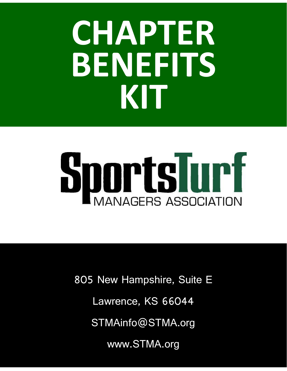## **CHAPTER BENEFITS KIT**

# **SportsTurf**

Lawrence, KS 66044  $\overline{\phantom{a}}$ STMAInfo@STMA.org 805 New Hampshire, Suite E

www.STMA.org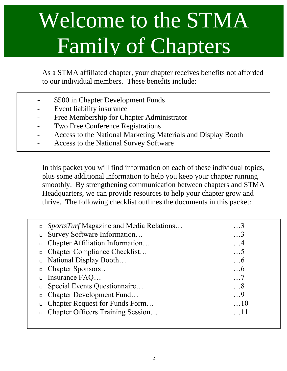### Welcome to the STMA Family of Chapters

As a STMA affiliated chapter, your chapter receives benefits not afforded to our individual members. These benefits include:

- \$500 in Chapter Development Funds
- Event liability insurance
- Free Membership for Chapter Administrator
- Two Free Conference Registrations
- Access to the National Marketing Materials and Display Booth
- Access to the National Survey Software

In this packet you will find information on each of these individual topics, plus some additional information to help you keep your chapter running smoothly. By strengthening communication between chapters and STMA Headquarters, we can provide resources to help your chapter grow and thrive. The following checklist outlines the documents in this packet:

| □ <i>SportsTurf</i> Magazine and Media Relations | . 3        |
|--------------------------------------------------|------------|
| Survey Software Information<br>$\Box$            | . 3        |
| □ Chapter Affiliation Information                | . 4        |
| □ Chapter Compliance Checklist                   | . 5        |
| □ National Display Booth                         | $\dots6$   |
| □ Chapter Sponsors                               | $\dots6$   |
| $\Box$ Insurance FAQ                             | $\ldots 7$ |
| □ Special Events Questionnaire                   | $\dots 8$  |
| □ Chapter Development Fund                       | $\cdot$ .9 |
| □ Chapter Request for Funds Form                 | $\dots$ 10 |
| □ Chapter Officers Training Session              |            |
|                                                  |            |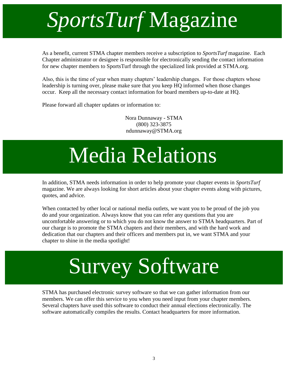### *SportsTurf* Magazine

As a benefit, current STMA chapter members receive a subscription to *SportsTurf* magazine. Each Chapter administrator or designee is responsible for electronically sending the contact information for new chapter members to SportsTurf through the specialized link provided at STMA.org.

Also, this is the time of year when many chapters' leadership changes. For those chapters whose leadership is turning over, please make sure that you keep HQ informed when those changes occur. Keep all the necessary contact information for board members up-to-date at HQ.

Please forward all chapter updates or information to:

Nora Dunnaway - STMA (800) 323-3875 ndunnaway@STMA.org

### Media Relations

In addition, STMA needs information in order to help promote your chapter events in *SportsTurf* magazine. We are always looking for short articles about your chapter events along with pictures, quotes, and advice.

When contacted by other local or national media outlets, we want you to be proud of the job you do and your organization. Always know that you can refer any questions that you are uncomfortable answering or to which you do not know the answer to STMA headquarters. Part of our charge is to promote the STMA chapters and their members, and with the hard work and dedication that our chapters and their officers and members put in, we want STMA and your chapter to shine in the media spotlight!

### Survey Software

STMA has purchased electronic survey software so that we can gather information from our members. We can offer this service to you when you need input from your chapter members. Several chapters have used this software to conduct their annual elections electronically. The software automatically compiles the results. Contact headquarters for more information.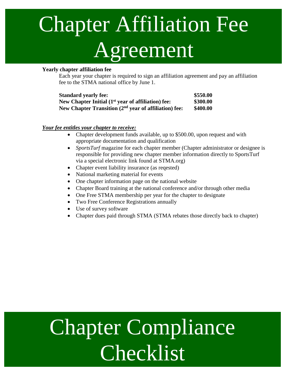### Each chapter has a speement Chapter Affiliation Fee

### **Yearly chapter affiliation fee**

Each year your chapter is required to sign an affiliation agreement and pay an affiliation fee to the STMA national office by June 1.

| <b>Standard yearly fee:</b>                                       | \$550.00 |
|-------------------------------------------------------------------|----------|
| New Chapter Initial $(1st$ year of affiliation) fee:              | \$300.00 |
| New Chapter Transition (2 <sup>nd</sup> year of affiliation) fee: | \$400.00 |

### *Your fee entitles your chapter to receive:*

- Chapter development funds available, up to \$500.00, upon request and with appropriate documentation and qualification
- *SportsTurf* magazine for each chapter member (Chapter administrator or designee is responsible for providing new chapter member information directly to SportsTurf via a special electronic link found at STMA.org)
- Chapter event liability insurance (as reqested)
- National marketing material for events
- One chapter information page on the national website
- Chapter Board training at the national conference and/or through other media
- One Free STMA membership per year for the chapter to designate
- Two Free Conference Registrations annually
- Use of survey software
- Chapter dues paid through STMA (STMA rebates those directly back to chapter)

### $\blacktriangle$ Chapter Compliance Checklist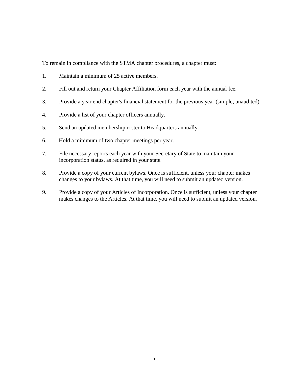To remain in compliance with the STMA chapter procedures, a chapter must:

- 1. Maintain a minimum of 25 active members.
- 2. Fill out and return your Chapter Affiliation form each year with the annual fee.
- 3. Provide a year end chapter's financial statement for the previous year (simple, unaudited).
- 4. Provide a list of your chapter officers annually.
- 5. Send an updated membership roster to Headquarters annually.
- 6. Hold a minimum of two chapter meetings per year.
- 7. File necessary reports each year with your Secretary of State to maintain your incorporation status, as required in your state.
- 8. Provide a copy of your current bylaws. Once is sufficient, unless your chapter makes changes to your bylaws. At that time, you will need to submit an updated version.
- 9. Provide a copy of your Articles of Incorporation. Once is sufficient, unless your chapter makes changes to the Articles. At that time, you will need to submit an updated version.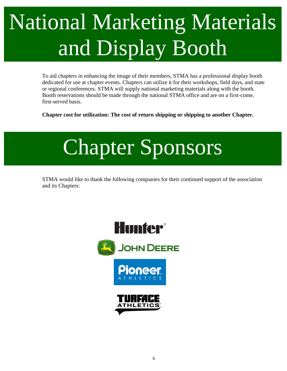### National Marketing Materials and Display Booth

To aid chapters in enhancing the image of their members, STMA has a professional display booth dedicated for use at chapter events. Chapters can utilize it for their workshops, field days, and state or regional conferences. STMA will supply national marketing materials along with the booth. Booth reservations should be made through the national STMA office and are on a first-come, first-served basis.

**Chapter cost for utilization: The cost of return shipping or shipping to another Chapter.**



STMA would like to thank the following companies for their continued support of the association and its Chapters:

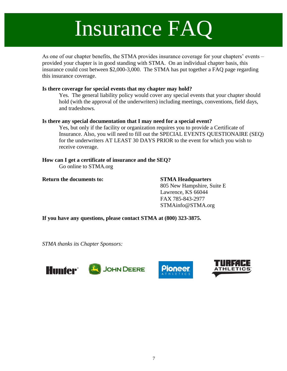### Insurance FAQ

As one of our chapter benefits, the STMA provides insurance coverage for your chapters' events – provided your chapter is in good standing with STMA. On an individual chapter basis, this insurance could cost between \$2,000-3,000. The STMA has put together a FAQ page regarding this insurance coverage.

### **Is there coverage for special events that my chapter may hold?**

Yes. The general liability policy would cover any special events that your chapter should hold (with the approval of the underwriters) including meetings, conventions, field days, and tradeshows.

### **Is there any special documentation that I may need for a special event?**

Yes, but only if the facility or organization requires you to provide a Certificate of Insurance. Also, you will need to fill out the SPECIAL EVENTS QUESTIONAIRE (SEQ) for the underwriters AT LEAST 30 DAYS PRIOR to the event for which you wish to receive coverage.

### **How can I get a certificate of insurance and the SEQ?** Go online to STMA.org

### **Return the documents to: STMA Headquarters**

805 New Hampshire, Suite E Lawrence, KS 66044 FAX 785-843-2977 STMAinfo@STMA.org

**If you have any questions, please contact STMA at (800) 323-3875.**

*STMA thanks its Chapter Sponsors:*



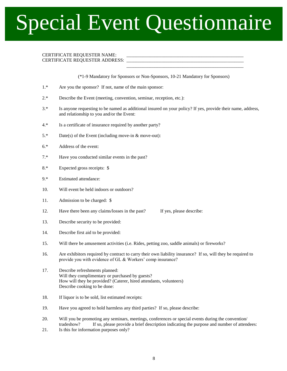### Special Event Questionnaire

### CERTIFICATE REQUESTER NAME: CERTIFICATE REQUESTER ADDRESS:

(\*1-9 Mandatory for Sponsors or Non-Sponsors, 10-21 Mandatory for Sponsors)

\_\_\_\_\_\_\_\_\_\_\_\_\_\_\_\_\_\_\_\_\_\_\_\_\_\_\_\_\_\_\_\_\_\_\_\_\_\_\_\_\_\_\_\_\_\_\_\_\_\_

- 1.\* Are you the sponsor? If not, name of the main sponsor:
- 2.\* Describe the Event (meeting, convention, seminar, reception, etc.):
- 3.\* Is anyone requesting to be named as additional insured on your policy? If yes, provide their name, address, and relationship to you and/or the Event:
- 4.\* Is a certificate of insurance required by another party?
- 5.\* Date(s) of the Event (including move-in & move-out):
- 6.\* Address of the event:
- 7.\* Have you conducted similar events in the past?
- 8.\* Expected gross receipts: \$
- 9.\* Estimated attendance:
- 10. Will event be held indoors or outdoors?
- 11. Admission to be charged: \$
- 12. Have there been any claims/losses in the past? If yes, please describe:
- 13. Describe security to be provided:
- 14. Describe first aid to be provided:
- 15. Will there be amusement activities (i.e. Rides, petting zoo, saddle animals) or fireworks?
- 16. Are exhibitors required by contract to carry their own liability insurance? If so, will they be required to provide you with evidence of GL & Workers' comp insurance?
- 17. Describe refreshments planned: Will they complimentary or purchased by guests? How will they be provided? (Caterer, hired attendants, volunteers) Describe cooking to be done:
- 18. If liquor is to be sold, list estimated receipts:
- 19. Have you agreed to hold harmless any third parties? If so, please describe:
- 20. Will you be promoting any seminars, meetings, conferences or special events during the convention/ tradeshow? If so, please provide a brief description indicating the purpose and number of attendees:
- 21. Is this for information purposes only?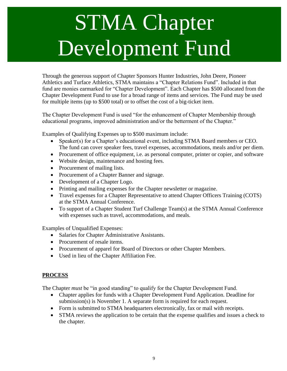### STMA Chapter Development Fund

Through the generous support of Chapter Sponsors Hunter Industries, John Deere, Pioneer Athletics and Turface Athletics, STMA maintains a "Chapter Relations Fund". Included in that fund are monies earmarked for "Chapter Development". Each Chapter has \$500 allocated from the Chapter Development Fund to use for a broad range of items and services. The Fund may be used for multiple items (up to \$500 total) or to offset the cost of a big-ticket item.

The Chapter Development Fund is used "for the enhancement of Chapter Membership through educational programs, improved administration and/or the betterment of the Chapter."

Examples of Qualifying Expenses up to \$500 maximum include:

- Speaker(s) for a Chapter's educational event, including STMA Board members or CEO. The fund can cover speaker fees, travel expenses, accommodations, meals and/or per diem.
- Procurement of office equipment, i.e. as personal computer, printer or copier, and software
- Website design, maintenance and hosting fees.
- Procurement of mailing lists.
- Procurement of a Chapter Banner and signage.
- Development of a Chapter Logo.
- Printing and mailing expenses for the Chapter newsletter or magazine.
- Travel expenses for a Chapter Representative to attend Chapter Officers Training (COTS) at the STMA Annual Conference.
- To support of a Chapter Student Turf Challenge Team(s) at the STMA Annual Conference with expenses such as travel, accommodations, and meals.

Examples of Unqualified Expenses:

- Salaries for Chapter Administrative Assistants.
- Procurement of resale items.
- Procurement of apparel for Board of Directors or other Chapter Members.
- Used in lieu of the Chapter Affiliation Fee.

### **PROCESS**

The Chapter *must* be "in good standing" to qualify for the Chapter Development Fund.

- Chapter applies for funds with a Chapter Development Fund Application. Deadline for submission(s) is November 1. A separate form is required for each request.
- Form is submitted to STMA headquarters electronically, fax or mail with receipts.
- STMA reviews the application to be certain that the expense qualifies and issues a check to the chapter.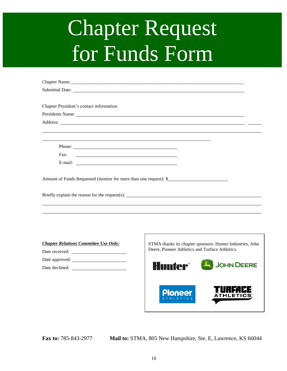### Chapter Request for Funds Form

| Chapter Name: 2008. Chapter Name: 2008. Chapter Name: 2008. Chapter Name: 2008. Chapter Name: 2008. Chapter Name: 2008. Chapter Name: 2008. Chapter Name: 2008. Chapter Name: 2008. Chapter Name: 2008. Chapter Name: 2008. Ch |  |
|--------------------------------------------------------------------------------------------------------------------------------------------------------------------------------------------------------------------------------|--|
| Submittal Date: New York: New York: New York: New York: New York: New York: New York: New York: New York: New York: New York: New York: New York: New York: New York: New York: New York: New York: New York: New York: New Yo |  |
|                                                                                                                                                                                                                                |  |
| Chapter President's contact information:                                                                                                                                                                                       |  |
| Presidents Name: New York Changes and Security and Security and Security and Security and Security and Security and Security and Security and Security and Security and Security and Security and Security and Security and Se |  |
|                                                                                                                                                                                                                                |  |
|                                                                                                                                                                                                                                |  |
|                                                                                                                                                                                                                                |  |
| Phone:                                                                                                                                                                                                                         |  |
| Fax:                                                                                                                                                                                                                           |  |
|                                                                                                                                                                                                                                |  |
|                                                                                                                                                                                                                                |  |
| Amount of Funds Requested (itemize for more than one request): \$                                                                                                                                                              |  |
|                                                                                                                                                                                                                                |  |
| Briefly explain the reason for the request(s): __________________________________                                                                                                                                              |  |
|                                                                                                                                                                                                                                |  |
|                                                                                                                                                                                                                                |  |
|                                                                                                                                                                                                                                |  |
|                                                                                                                                                                                                                                |  |

- *Chapter Relations Committee Use Only:*
- Date received: Date approved:
- Date declined: \_\_\_\_\_



**Fax to:** 785-843-2977 **Mail to:** STMA, 805 New Hampshire, Ste. E, Lawrence, KS 66044